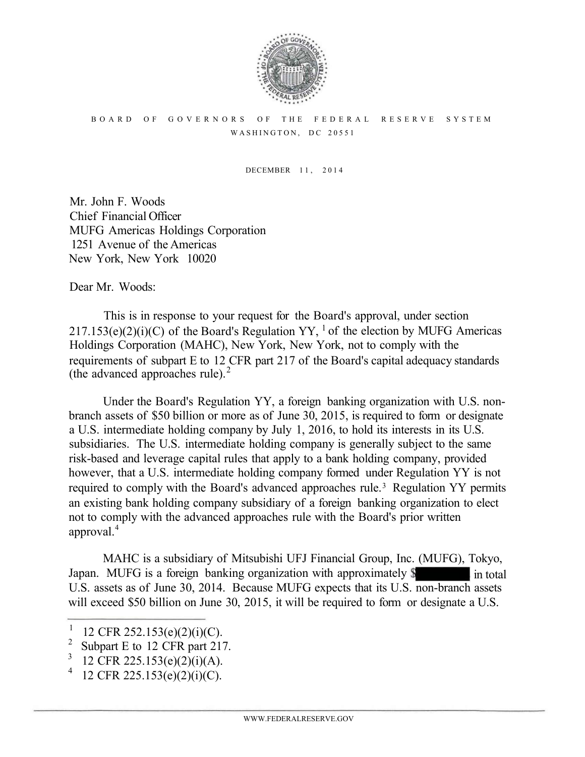

## BOARD OF GOVERNORS OF THE FEDERAL RESERVE SYSTEM WASHINGTON, DC 20551

DECEMBER 11, 2014

Mr. John F. Woods Chief Financial Officer MUFG Americas Holdings Corporation 1251 Avenue of the Americas New York, New York 10020

Dear Mr. Woods:

This is in response to your request for the Board's approval, under section  $217.153(e)(2)(i)(C)$  of the Board's Regulation YY, <sup>1</sup> of the election by MUFG Americas Holdings Corporation (MAHC), New York, New York, not to comply with the requirements of subpart E to 12 CFR part 217 of the Board's capital adequacy standards (the advanced approaches rule). 2

Under the Board's Regulation YY, a foreign banking organization with U.S. nonbranch assets of \$50 billion or more as of June 30, 2015, is required to form or designate a U.S. intermediate holding company by July 1, 2016, to hold its interests in its U.S. subsidiaries. The U.S. intermediate holding company is generally subject to the same risk-based and leverage capital rules that apply to a bank holding company, provided however, that a U.S. intermediate holding company formed under Regulation YY is not required to comply with the Board's advanced approaches rule. 3 Regulation YY permits an existing bank holding company subsidiary of a foreign banking organization to elect not to comply with the advanced approaches rule with the Board's prior written approval.<sup>4</sup>

MAHC is a subsidiary of Mitsubishi UFJ Financial Group, Inc. (MUFG), Tokyo, Japan. MUFG is a foreign banking organization with approximately  $\delta$  in total U.S. assets as of June 30, 2014. Because MUFG expects that its U.S. non-branch assets will exceed \$50 billion on June 30, 2015, it will be required to form or designate a U.S.

<sup>&</sup>lt;sup>1</sup> 12 CFR 252.153(e)(2)(i)(C).<br><sup>2</sup> Subpart E to 12 CEB part 212

<sup>&</sup>lt;sup>2</sup> Subpart E to 12 CFR part 217.

<sup>&</sup>lt;sup>3</sup> 12 CFR 225.153(e)(2)(i)(A).<br><sup>4</sup> 12 CEB 225.152(e)(2)(i)(C)

 <sup>12</sup> CFR 225.153(e)(2)(i)(C).